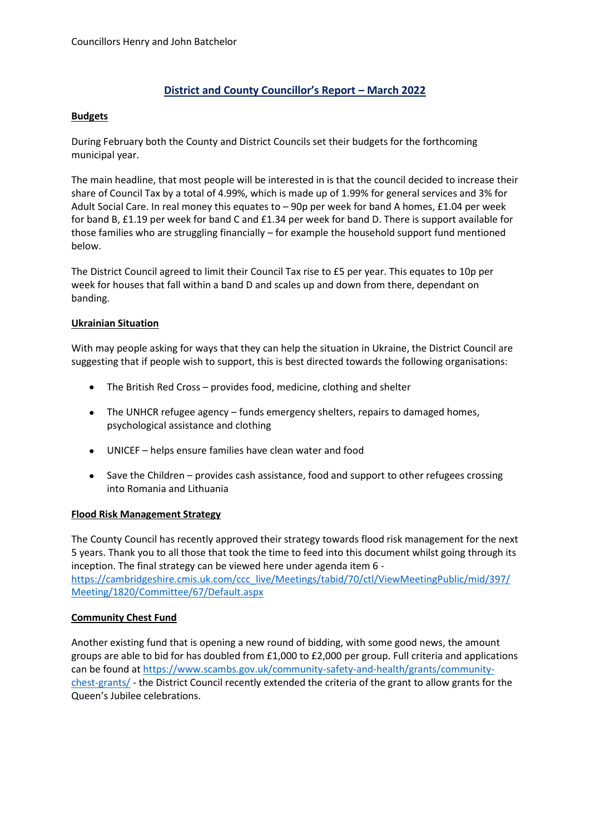# **District and County Councillor's Report – March 2022**

#### **Budgets**

During February both the County and District Councils set their budgets for the forthcoming municipal year.

The main headline, that most people will be interested in is that the council decided to increase their share of Council Tax by a total of 4.99%, which is made up of 1.99% for general services and 3% for Adult Social Care. In real money this equates to – 90p per week for band A homes, £1.04 per week for band B, £1.19 per week for band C and £1.34 per week for band D. There is support available for those families who are struggling financially – for example the household support fund mentioned below.

The District Council agreed to limit their Council Tax rise to £5 per year. This equates to 10p per week for houses that fall within a band D and scales up and down from there, dependant on banding.

### **Ukrainian Situation**

With may people asking for ways that they can help the situation in Ukraine, the District Council are suggesting that if people wish to support, this is best directed towards the following organisations:

- The British Red Cross provides food, medicine, clothing and shelter
- The UNHCR refugee agency funds emergency shelters, repairs to damaged homes, psychological assistance and clothing
- UNICEF helps ensure families have clean water and food
- Save the Children provides cash assistance, food and support to other refugees crossing into Romania and Lithuania

#### **Flood Risk Management Strategy**

The County Council has recently approved their strategy towards flood risk management for the next 5 years. Thank you to all those that took the time to feed into this document whilst going through its inception. The final strategy can be viewed here under agenda item 6 [https://cambridgeshire.cmis.uk.com/ccc\\_live/Meetings/tabid/70/ctl/ViewMeetingPublic/mid/397/](https://cambridgeshire.cmis.uk.com/ccc_live/Meetings/tabid/70/ctl/ViewMeetingPublic/mid/397/Meeting/1820/Committee/67/Default.aspx) [Meeting/1820/Committee/67/Default.aspx](https://cambridgeshire.cmis.uk.com/ccc_live/Meetings/tabid/70/ctl/ViewMeetingPublic/mid/397/Meeting/1820/Committee/67/Default.aspx)

#### **Community Chest Fund**

Another existing fund that is opening a new round of bidding, with some good news, the amount groups are able to bid for has doubled from £1,000 to £2,000 per group. Full criteria and applications can be found at [https://www.scambs.gov.uk/community-safety-and-health/grants/community](https://www.scambs.gov.uk/community-safety-and-health/grants/community-chest-grants/)[chest-grants/](https://www.scambs.gov.uk/community-safety-and-health/grants/community-chest-grants/) - the District Council recently extended the criteria of the grant to allow grants for the Queen's Jubilee celebrations.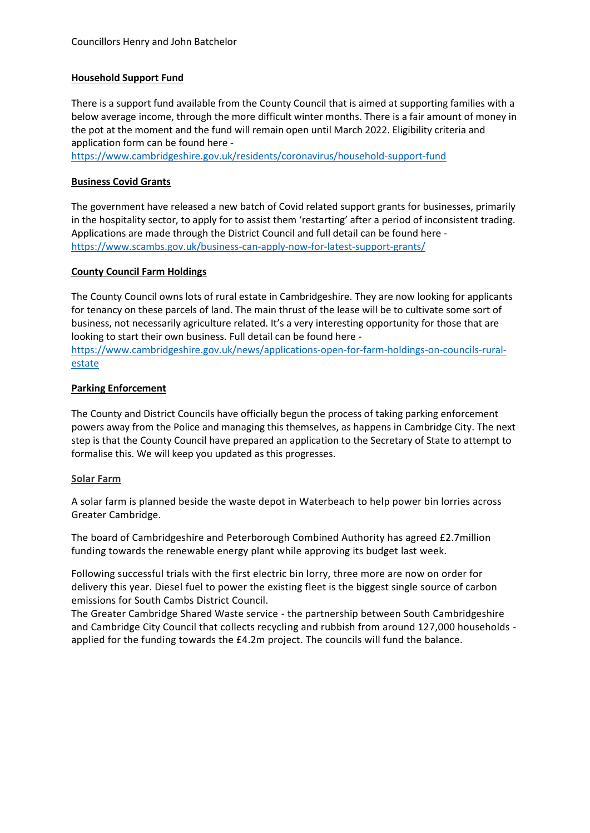### **Household Support Fund**

There is a support fund available from the County Council that is aimed at supporting families with a below average income, through the more difficult winter months. There is a fair amount of money in the pot at the moment and the fund will remain open until March 2022. Eligibility criteria and application form can be found here -

<https://www.cambridgeshire.gov.uk/residents/coronavirus/household-support-fund>

### **Business Covid Grants**

The government have released a new batch of Covid related support grants for businesses, primarily in the hospitality sector, to apply for to assist them 'restarting' after a period of inconsistent trading. Applications are made through the District Council and full detail can be found here <https://www.scambs.gov.uk/business-can-apply-now-for-latest-support-grants/>

### **County Council Farm Holdings**

The County Council owns lots of rural estate in Cambridgeshire. They are now looking for applicants for tenancy on these parcels of land. The main thrust of the lease will be to cultivate some sort of business, not necessarily agriculture related. It's a very interesting opportunity for those that are looking to start their own business. Full detail can be found here [https://www.cambridgeshire.gov.uk/news/applications-open-for-farm-holdings-on-councils-rural](https://www.cambridgeshire.gov.uk/news/applications-open-for-farm-holdings-on-councils-rural-estate)[estate](https://www.cambridgeshire.gov.uk/news/applications-open-for-farm-holdings-on-councils-rural-estate)

### **Parking Enforcement**

The County and District Councils have officially begun the process of taking parking enforcement powers away from the Police and managing this themselves, as happens in Cambridge City. The next step is that the County Council have prepared an application to the Secretary of State to attempt to formalise this. We will keep you updated as this progresses.

#### **Solar Farm**

A solar farm is planned beside the waste depot in Waterbeach to help power bin lorries across Greater Cambridge.

The board of Cambridgeshire and Peterborough Combined Authority has agreed £2.7million funding towards the renewable energy plant while approving its budget last week.

Following successful trials with the first electric bin lorry, three more are now on order for delivery this year. Diesel fuel to power the existing fleet is the biggest single source of carbon emissions for South Cambs District Council.

The Greater Cambridge Shared Waste service - the partnership between South Cambridgeshire and Cambridge City Council that collects recycling and rubbish from around 127,000 households applied for the funding towards the £4.2m project. The councils will fund the balance.